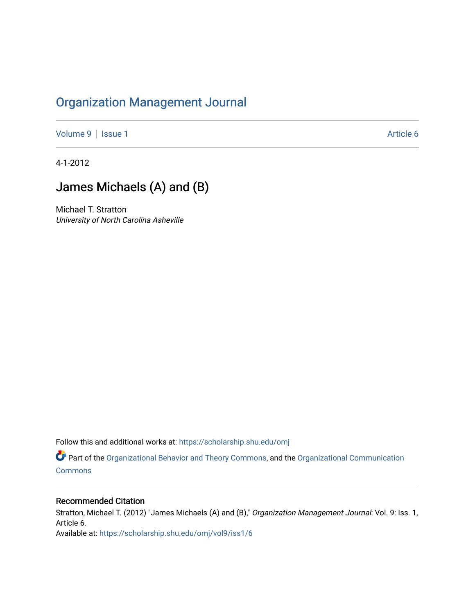## [Organization Management Journal](https://scholarship.shu.edu/omj)

[Volume 9](https://scholarship.shu.edu/omj/vol9) | [Issue 1](https://scholarship.shu.edu/omj/vol9/iss1) Article 6

4-1-2012

# James Michaels (A) and (B)

Michael T. Stratton University of North Carolina Asheville

Follow this and additional works at: [https://scholarship.shu.edu/omj](https://scholarship.shu.edu/omj?utm_source=scholarship.shu.edu%2Fomj%2Fvol9%2Fiss1%2F6&utm_medium=PDF&utm_campaign=PDFCoverPages) 

Part of the [Organizational Behavior and Theory Commons,](http://network.bepress.com/hgg/discipline/639?utm_source=scholarship.shu.edu%2Fomj%2Fvol9%2Fiss1%2F6&utm_medium=PDF&utm_campaign=PDFCoverPages) and the [Organizational Communication](http://network.bepress.com/hgg/discipline/335?utm_source=scholarship.shu.edu%2Fomj%2Fvol9%2Fiss1%2F6&utm_medium=PDF&utm_campaign=PDFCoverPages) **[Commons](http://network.bepress.com/hgg/discipline/335?utm_source=scholarship.shu.edu%2Fomj%2Fvol9%2Fiss1%2F6&utm_medium=PDF&utm_campaign=PDFCoverPages)** 

## Recommended Citation

Stratton, Michael T. (2012) "James Michaels (A) and (B)," Organization Management Journal: Vol. 9: Iss. 1, Article 6. Available at: [https://scholarship.shu.edu/omj/vol9/iss1/6](https://scholarship.shu.edu/omj/vol9/iss1/6?utm_source=scholarship.shu.edu%2Fomj%2Fvol9%2Fiss1%2F6&utm_medium=PDF&utm_campaign=PDFCoverPages)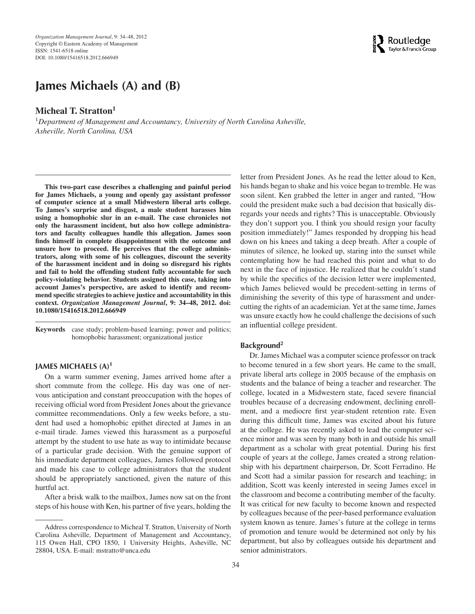## **James Michaels (A) and (B)**

## **Micheal T. Stratton1**

<sup>1</sup>*Department of Management and Accountancy, University of North Carolina Asheville, Asheville, North Carolina, USA*

**This two-part case describes a challenging and painful period for James Michaels, a young and openly gay assistant professor of computer science at a small Midwestern liberal arts college. To James's surprise and disgust, a male student harasses him using a homophobic slur in an e-mail. The case chronicles not only the harassment incident, but also how college administrators and faculty colleagues handle this allegation. James soon finds himself in complete disappointment with the outcome and unsure how to proceed. He perceives that the college administrators, along with some of his colleagues, discount the severity of the harassment incident and in doing so disregard his rights and fail to hold the offending student fully accountable for such policy-violating behavior. Students assigned this case, taking into account James's perspective, are asked to identify and recommend specific strategies to achieve justice and accountability in this context.** *Organization Management Journal***, 9: 34–48, 2012. doi: 10.1080/15416518.2012.666949**

**Keywords** case study; problem-based learning; power and politics; homophobic harassment; organizational justice

#### **JAMES MICHAELS (A)<sup>1</sup>**

On a warm summer evening, James arrived home after a short commute from the college. His day was one of nervous anticipation and constant preoccupation with the hopes of receiving official word from President Jones about the grievance committee recommendations. Only a few weeks before, a student had used a homophobic epithet directed at James in an e-mail tirade. James viewed this harassment as a purposeful attempt by the student to use hate as way to intimidate because of a particular grade decision. With the genuine support of his immediate department colleagues, James followed protocol and made his case to college administrators that the student should be appropriately sanctioned, given the nature of this hurtful act.

After a brisk walk to the mailbox, James now sat on the front steps of his house with Ken, his partner of five years, holding the



letter from President Jones. As he read the letter aloud to Ken, his hands began to shake and his voice began to tremble. He was soon silent. Ken grabbed the letter in anger and ranted, "How could the president make such a bad decision that basically disregards your needs and rights? This is unacceptable. Obviously they don't support you. I think you should resign your faculty position immediately!" James responded by dropping his head down on his knees and taking a deep breath. After a couple of minutes of silence, he looked up, staring into the sunset while contemplating how he had reached this point and what to do next in the face of injustice. He realized that he couldn't stand by while the specifics of the decision letter were implemented, which James believed would be precedent-setting in terms of diminishing the severity of this type of harassment and undercutting the rights of an academician. Yet at the same time, James was unsure exactly how he could challenge the decisions of such an influential college president.

#### **Background2**

Dr. James Michael was a computer science professor on track to become tenured in a few short years. He came to the small, private liberal arts college in 2005 because of the emphasis on students and the balance of being a teacher and researcher. The college, located in a Midwestern state, faced severe financial troubles because of a decreasing endowment, declining enrollment, and a mediocre first year-student retention rate. Even during this difficult time, James was excited about his future at the college. He was recently asked to lead the computer science minor and was seen by many both in and outside his small department as a scholar with great potential. During his first couple of years at the college, James created a strong relationship with his department chairperson, Dr. Scott Ferradino. He and Scott had a similar passion for research and teaching; in addition, Scott was keenly interested in seeing James excel in the classroom and become a contributing member of the faculty. It was critical for new faculty to become known and respected by colleagues because of the peer-based performance evaluation system known as tenure. James's future at the college in terms of promotion and tenure would be determined not only by his department, but also by colleagues outside his department and senior administrators.

Address correspondence to Micheal T. Stratton, University of North Carolina Asheville, Department of Management and Accountancy, 115 Owen Hall, CPO 1850, 1 University Heights, Asheville, NC 28804, USA. E-mail: mstratto@unca.edu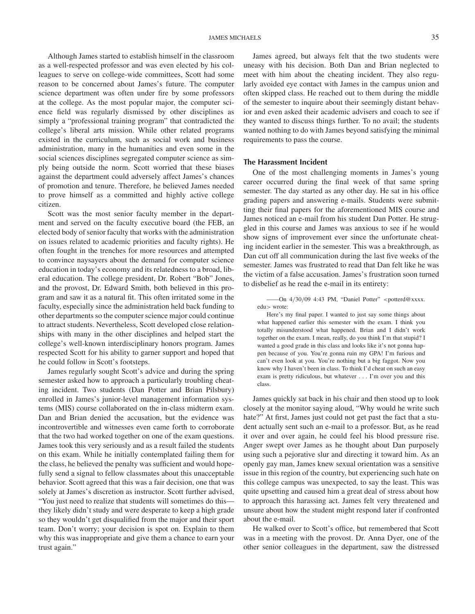Although James started to establish himself in the classroom as a well-respected professor and was even elected by his colleagues to serve on college-wide committees, Scott had some reason to be concerned about James's future. The computer science department was often under fire by some professors at the college. As the most popular major, the computer science field was regularly dismissed by other disciplines as simply a "professional training program" that contradicted the college's liberal arts mission. While other related programs existed in the curriculum, such as social work and business administration, many in the humanities and even some in the social sciences disciplines segregated computer science as simply being outside the norm. Scott worried that these biases against the department could adversely affect James's chances of promotion and tenure. Therefore, he believed James needed to prove himself as a committed and highly active college citizen.

Scott was the most senior faculty member in the department and served on the faculty executive board (the FEB, an elected body of senior faculty that works with the administration on issues related to academic priorities and faculty rights). He often fought in the trenches for more resources and attempted to convince naysayers about the demand for computer science education in today's economy and its relatedness to a broad, liberal education. The college president, Dr. Robert "Bob" Jones, and the provost, Dr. Edward Smith, both believed in this program and saw it as a natural fit. This often irritated some in the faculty, especially since the administration held back funding to other departments so the computer science major could continue to attract students. Nevertheless, Scott developed close relationships with many in the other disciplines and helped start the college's well-known interdisciplinary honors program. James respected Scott for his ability to garner support and hoped that he could follow in Scott's footsteps.

James regularly sought Scott's advice and during the spring semester asked how to approach a particularly troubling cheating incident. Two students (Dan Potter and Brian Pilsbury) enrolled in James's junior-level management information systems (MIS) course collaborated on the in-class midterm exam. Dan and Brian denied the accusation, but the evidence was incontrovertible and witnesses even came forth to corroborate that the two had worked together on one of the exam questions. James took this very seriously and as a result failed the students on this exam. While he initially contemplated failing them for the class, he believed the penalty was sufficient and would hopefully send a signal to fellow classmates about this unacceptable behavior. Scott agreed that this was a fair decision, one that was solely at James's discretion as instructor. Scott further advised, "You just need to realize that students will sometimes do this they likely didn't study and were desperate to keep a high grade so they wouldn't get disqualified from the major and their sport team. Don't worry; your decision is spot on. Explain to them why this was inappropriate and give them a chance to earn your trust again."

James agreed, but always felt that the two students were uneasy with his decision. Both Dan and Brian neglected to meet with him about the cheating incident. They also regularly avoided eye contact with James in the campus union and often skipped class. He reached out to them during the middle of the semester to inquire about their seemingly distant behavior and even asked their academic advisers and coach to see if they wanted to discuss things further. To no avail; the students wanted nothing to do with James beyond satisfying the minimal requirements to pass the course.

#### **The Harassment Incident**

One of the most challenging moments in James's young career occurred during the final week of that same spring semester. The day started as any other day. He sat in his office grading papers and answering e-mails. Students were submitting their final papers for the aforementioned MIS course and James noticed an e-mail from his student Dan Potter. He struggled in this course and James was anxious to see if he would show signs of improvement ever since the unfortunate cheating incident earlier in the semester. This was a breakthrough, as Dan cut off all communication during the last five weeks of the semester. James was frustrated to read that Dan felt like he was the victim of a false accusation. James's frustration soon turned to disbelief as he read the e-mail in its entirety:

——On 4*/*30*/*09 4:43 PM, "Daniel Potter" *<*potterd@xxxx. edu*>* wrote:

Here's my final paper. I wanted to just say some things about what happened earlier this semester with the exam. I think you totally misunderstood what happened. Brian and I didn't work together on the exam. I mean, really, do you think I'm that stupid? I wanted a good grade in this class and looks like it's not gonna happen because of you. You're gonna ruin my GPA! I'm furious and can't even look at you. You're nothing but a big faggot. Now you know why I haven't been in class. To think I'd cheat on such an easy exam is pretty ridiculous, but whatever *...* I'm over you and this class.

James quickly sat back in his chair and then stood up to look closely at the monitor saying aloud, "Why would he write such hate?" At first, James just could not get past the fact that a student actually sent such an e-mail to a professor. But, as he read it over and over again, he could feel his blood pressure rise. Anger swept over James as he thought about Dan purposely using such a pejorative slur and directing it toward him. As an openly gay man, James knew sexual orientation was a sensitive issue in this region of the country, but experiencing such hate on this college campus was unexpected, to say the least. This was quite upsetting and caused him a great deal of stress about how to approach this harassing act. James felt very threatened and unsure about how the student might respond later if confronted about the e-mail.

He walked over to Scott's office, but remembered that Scott was in a meeting with the provost. Dr. Anna Dyer, one of the other senior colleagues in the department, saw the distressed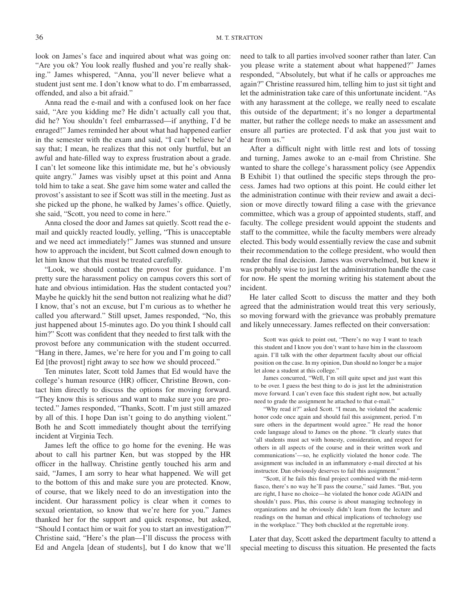look on James's face and inquired about what was going on: "Are you ok? You look really flushed and you're really shaking." James whispered, "Anna, you'll never believe what a student just sent me. I don't know what to do. I'm embarrassed, offended, and also a bit afraid."

Anna read the e-mail and with a confused look on her face said, "Are you kidding me? He didn't actually call you that, did he? You shouldn't feel embarrassed—if anything, I'd be enraged!" James reminded her about what had happened earlier in the semester with the exam and said, "I can't believe he'd say that; I mean, he realizes that this not only hurtful, but an awful and hate-filled way to express frustration about a grade. I can't let someone like this intimidate me, but he's obviously quite angry." James was visibly upset at this point and Anna told him to take a seat. She gave him some water and called the provost's assistant to see if Scott was still in the meeting. Just as she picked up the phone, he walked by James's office. Quietly, she said, "Scott, you need to come in here."

Anna closed the door and James sat quietly. Scott read the email and quickly reacted loudly, yelling, "This is unacceptable and we need act immediately!" James was stunned and unsure how to approach the incident, but Scott calmed down enough to let him know that this must be treated carefully.

"Look, we should contact the provost for guidance. I'm pretty sure the harassment policy on campus covers this sort of hate and obvious intimidation. Has the student contacted you? Maybe he quickly hit the send button not realizing what he did? I know, that's not an excuse, but I'm curious as to whether he called you afterward." Still upset, James responded, "No, this just happened about 15-minutes ago. Do you think I should call him?" Scott was confident that they needed to first talk with the provost before any communication with the student occurred. "Hang in there, James, we're here for you and I'm going to call Ed [the provost] right away to see how we should proceed."

Ten minutes later, Scott told James that Ed would have the college's human resource (HR) officer, Christine Brown, contact him directly to discuss the options for moving forward. "They know this is serious and want to make sure you are protected." James responded, "Thanks, Scott. I'm just still amazed by all of this. I hope Dan isn't going to do anything violent." Both he and Scott immediately thought about the terrifying incident at Virginia Tech.

James left the office to go home for the evening. He was about to call his partner Ken, but was stopped by the HR officer in the hallway. Christine gently touched his arm and said, "James, I am sorry to hear what happened. We will get to the bottom of this and make sure you are protected. Know, of course, that we likely need to do an investigation into the incident. Our harassment policy is clear when it comes to sexual orientation, so know that we're here for you." James thanked her for the support and quick response, but asked, "Should I contact him or wait for you to start an investigation?" Christine said, "Here's the plan—I'll discuss the process with Ed and Angela [dean of students], but I do know that we'll

need to talk to all parties involved sooner rather than later. Can you please write a statement about what happened?" James responded, "Absolutely, but what if he calls or approaches me again?" Christine reassured him, telling him to just sit tight and let the administration take care of this unfortunate incident. "As with any harassment at the college, we really need to escalate this outside of the department; it's no longer a departmental matter, but rather the college needs to make an assessment and ensure all parties are protected. I'd ask that you just wait to hear from us."

After a difficult night with little rest and lots of tossing and turning, James awoke to an e-mail from Christine. She wanted to share the college's harassment policy (see Appendix B Exhibit 1) that outlined the specific steps through the process. James had two options at this point. He could either let the administration continue with their review and await a decision or move directly toward filing a case with the grievance committee, which was a group of appointed students, staff, and faculty. The college president would appoint the students and staff to the committee, while the faculty members were already elected. This body would essentially review the case and submit their recommendation to the college president, who would then render the final decision. James was overwhelmed, but knew it was probably wise to just let the administration handle the case for now. He spent the morning writing his statement about the incident.

He later called Scott to discuss the matter and they both agreed that the administration would treat this very seriously, so moving forward with the grievance was probably premature and likely unnecessary. James reflected on their conversation:

Scott was quick to point out, "There's no way I want to teach this student and I know you don't want to have him in the classroom again. I'll talk with the other department faculty about our official position on the case. In my opinion, Dan should no longer be a major let alone a student at this college."

James concurred, "Well, I'm still quite upset and just want this to be over. I guess the best thing to do is just let the administration move forward. I can't even face this student right now, but actually need to grade the assignment he attached to that e-mail."

"Why read it?" asked Scott. "I mean, he violated the academic honor code once again and should fail this assignment, period. I'm sure others in the department would agree." He read the honor code language aloud to James on the phone. "It clearly states that 'all students must act with honesty, consideration, and respect for others in all aspects of the course and in their written work and communications'—so, he explicitly violated the honor code. The assignment was included in an inflammatory e-mail directed at his instructor. Dan obviously deserves to fail this assignment."

"Scott, if he fails this final project combined with the mid-term fiasco, there's no way he'll pass the course," said James. "But, you are right, I have no choice—he violated the honor code AGAIN and shouldn't pass. Plus, this course is about managing technology in organizations and he obviously didn't learn from the lecture and readings on the human and ethical implications of technology use in the workplace." They both chuckled at the regrettable irony.

Later that day, Scott asked the department faculty to attend a special meeting to discuss this situation. He presented the facts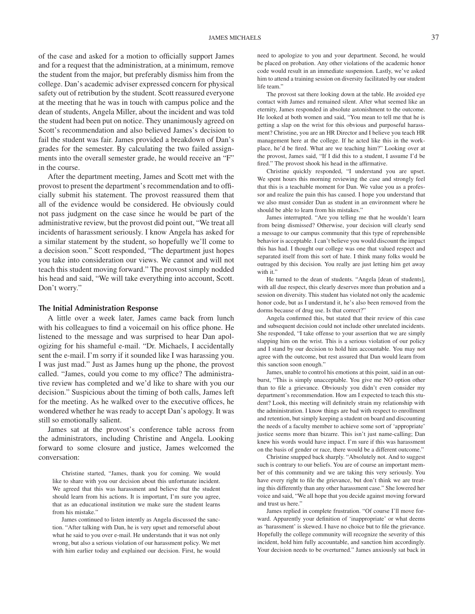#### JAMES MICHAELS 37

of the case and asked for a motion to officially support James and for a request that the administration, at a minimum, remove the student from the major, but preferably dismiss him from the college. Dan's academic adviser expressed concern for physical safety out of retribution by the student. Scott reassured everyone at the meeting that he was in touch with campus police and the dean of students, Angela Miller, about the incident and was told the student had been put on notice. They unanimously agreed on Scott's recommendation and also believed James's decision to fail the student was fair. James provided a breakdown of Dan's grades for the semester. By calculating the two failed assignments into the overall semester grade, he would receive an "F" in the course.

After the department meeting, James and Scott met with the provost to present the department's recommendation and to officially submit his statement. The provost reassured them that all of the evidence would be considered. He obviously could not pass judgment on the case since he would be part of the administrative review, but the provost did point out, "We treat all incidents of harassment seriously. I know Angela has asked for a similar statement by the student, so hopefully we'll come to a decision soon." Scott responded, "The department just hopes you take into consideration our views. We cannot and will not teach this student moving forward." The provost simply nodded his head and said, "We will take everything into account, Scott. Don't worry."

#### **The Initial Administration Response**

A little over a week later, James came back from lunch with his colleagues to find a voicemail on his office phone. He listened to the message and was surprised to hear Dan apologizing for his shameful e-mail. "Dr. Michaels, I accidentally sent the e-mail. I'm sorry if it sounded like I was harassing you. I was just mad." Just as James hung up the phone, the provost called. "James, could you come to my office? The administrative review has completed and we'd like to share with you our decision." Suspicious about the timing of both calls, James left for the meeting. As he walked over to the executive offices, he wondered whether he was ready to accept Dan's apology. It was still so emotionally salient.

James sat at the provost's conference table across from the administrators, including Christine and Angela. Looking forward to some closure and justice, James welcomed the conversation:

Christine started, "James, thank you for coming. We would like to share with you our decision about this unfortunate incident. We agreed that this was harassment and believe that the student should learn from his actions. It is important, I'm sure you agree, that as an educational institution we make sure the student learns from his mistake.'

James continued to listen intently as Angela discussed the sanction. "After talking with Dan, he is very upset and remorseful about what he said to you over e-mail. He understands that it was not only wrong, but also a serious violation of our harassment policy. We met with him earlier today and explained our decision. First, he would need to apologize to you and your department. Second, he would be placed on probation. Any other violations of the academic honor code would result in an immediate suspension. Lastly, we've asked him to attend a training session on diversity facilitated by our student life team."

The provost sat there looking down at the table. He avoided eye contact with James and remained silent. After what seemed like an eternity, James responded in absolute astonishment to the outcome. He looked at both women and said, "You mean to tell me that he is getting a slap on the wrist for this obvious and purposeful harassment? Christine, you are an HR Director and I believe you teach HR management here at the college. If he acted like this in the workplace, he'd be fired. What are we teaching him?" Looking over at the provost, James said, "If I did this to a student, I assume I'd be fired." The provost shook his head in the affirmative.

Christine quickly responded, "I understand you are upset. We spent hours this morning reviewing the case and strongly feel that this is a teachable moment for Dan. We value you as a professor and realize the pain this has caused. I hope you understand that we also must consider Dan as student in an environment where he should be able to learn from his mistakes."

James interrupted. "Are you telling me that he wouldn't learn from being dismissed? Otherwise, your decision will clearly send a message to our campus community that this type of reprehensible behavior is acceptable. I can't believe you would discount the impact this has had. I thought our college was one that valued respect and separated itself from this sort of hate. I think many folks would be outraged by this decision. You really are just letting him get away with it."

He turned to the dean of students. "Angela [dean of students], with all due respect, this clearly deserves more than probation and a session on diversity. This student has violated not only the academic honor code, but as I understand it, he's also been removed from the dorms because of drug use. Is that correct?"

Angela confirmed this, but stated that their review of this case and subsequent decision could not include other unrelated incidents. She responded, "I take offense to your assertion that we are simply slapping him on the wrist. This is a serious violation of our policy and I stand by our decision to hold him accountable. You may not agree with the outcome, but rest assured that Dan would learn from this sanction soon enough."

James, unable to control his emotions at this point, said in an outburst, "This is simply unacceptable. You give me NO option other than to file a grievance. Obviously you didn't even consider my department's recommendation. How am I expected to teach this student? Look, this meeting will definitely strain my relationship with the administration. I know things are bad with respect to enrollment and retention, but simply keeping a student on board and discounting the needs of a faculty member to achieve some sort of 'appropriate' justice seems more than bizarre. This isn't just name-calling; Dan knew his words would have impact. I'm sure if this was harassment on the basis of gender or race, there would be a different outcome."

Christine snapped back sharply. "Absolutely not. And to suggest such is contrary to our beliefs. You are of course an important member of this community and we are taking this very seriously. You have every right to file the grievance, but don't think we are treating this differently than any other harassment case." She lowered her voice and said, "We all hope that you decide against moving forward and trust us here."

James replied in complete frustration. "Of course I'll move forward. Apparently your definition of 'inappropriate' or what deems as 'harassment' is skewed. I have no choice but to file the grievance. Hopefully the college community will recognize the severity of this incident, hold him fully accountable, and sanction him accordingly. Your decision needs to be overturned." James anxiously sat back in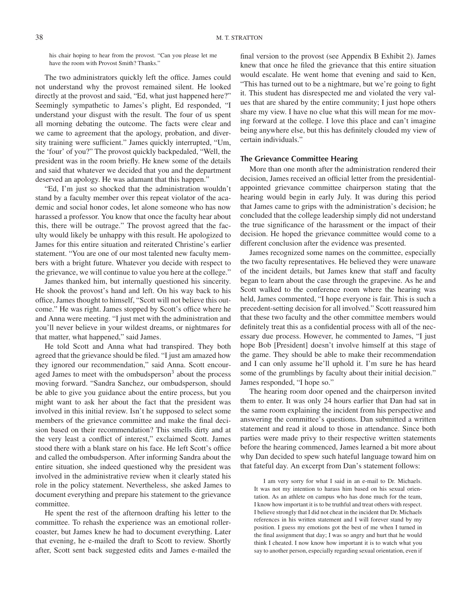his chair hoping to hear from the provost. "Can you please let me have the room with Provost Smith? Thanks."

The two administrators quickly left the office. James could not understand why the provost remained silent. He looked directly at the provost and said, "Ed, what just happened here?" Seemingly sympathetic to James's plight, Ed responded, "I understand your disgust with the result. The four of us spent all morning debating the outcome. The facts were clear and we came to agreement that the apology, probation, and diversity training were sufficient." James quickly interrupted, "Um, the 'four' of you?" The provost quickly backpedaled, "Well, the president was in the room briefly. He knew some of the details and said that whatever we decided that you and the department deserved an apology. He was adamant that this happen."

"Ed, I'm just so shocked that the administration wouldn't stand by a faculty member over this repeat violator of the academic and social honor codes, let alone someone who has now harassed a professor. You know that once the faculty hear about this, there will be outrage." The provost agreed that the faculty would likely be unhappy with this result. He apologized to James for this entire situation and reiterated Christine's earlier statement. "You are one of our most talented new faculty members with a bright future. Whatever you decide with respect to the grievance, we will continue to value you here at the college."

James thanked him, but internally questioned his sincerity. He shook the provost's hand and left. On his way back to his office, James thought to himself, "Scott will not believe this outcome." He was right. James stopped by Scott's office where he and Anna were meeting. "I just met with the administration and you'll never believe in your wildest dreams, or nightmares for that matter, what happened," said James.

He told Scott and Anna what had transpired. They both agreed that the grievance should be filed. "I just am amazed how they ignored our recommendation," said Anna. Scott encouraged James to meet with the ombudsperson<sup>3</sup> about the process moving forward. "Sandra Sanchez, our ombudsperson, should be able to give you guidance about the entire process, but you might want to ask her about the fact that the president was involved in this initial review. Isn't he supposed to select some members of the grievance committee and make the final decision based on their recommendation? This smells dirty and at the very least a conflict of interest," exclaimed Scott. James stood there with a blank stare on his face. He left Scott's office and called the ombudsperson. After informing Sandra about the entire situation, she indeed questioned why the president was involved in the administrative review when it clearly stated his role in the policy statement. Nevertheless, she asked James to document everything and prepare his statement to the grievance committee.

He spent the rest of the afternoon drafting his letter to the committee. To rehash the experience was an emotional rollercoaster, but James knew he had to document everything. Later that evening, he e-mailed the draft to Scott to review. Shortly after, Scott sent back suggested edits and James e-mailed the

final version to the provost (see Appendix B Exhibit 2). James knew that once he filed the grievance that this entire situation would escalate. He went home that evening and said to Ken, "This has turned out to be a nightmare, but we're going to fight it. This student has disrespected me and violated the very values that are shared by the entire community; I just hope others share my view. I have no clue what this will mean for me moving forward at the college. I love this place and can't imagine being anywhere else, but this has definitely clouded my view of certain individuals."

#### **The Grievance Committee Hearing**

More than one month after the administration rendered their decision, James received an official letter from the presidentialappointed grievance committee chairperson stating that the hearing would begin in early July. It was during this period that James came to grips with the administration's decision; he concluded that the college leadership simply did not understand the true significance of the harassment or the impact of their decision. He hoped the grievance committee would come to a different conclusion after the evidence was presented.

James recognized some names on the committee, especially the two faculty representatives. He believed they were unaware of the incident details, but James knew that staff and faculty began to learn about the case through the grapevine. As he and Scott walked to the conference room where the hearing was held, James commented, "I hope everyone is fair. This is such a precedent-setting decision for all involved." Scott reassured him that these two faculty and the other committee members would definitely treat this as a confidential process with all of the necessary due process. However, he commented to James, "I just hope Bob [President] doesn't involve himself at this stage of the game. They should be able to make their recommendation and I can only assume he'll uphold it. I'm sure he has heard some of the grumblings by faculty about their initial decision." James responded, "I hope so."

The hearing room door opened and the chairperson invited them to enter. It was only 24 hours earlier that Dan had sat in the same room explaining the incident from his perspective and answering the committee's questions. Dan submitted a written statement and read it aloud to those in attendance. Since both parties were made privy to their respective written statements before the hearing commenced, James learned a bit more about why Dan decided to spew such hateful language toward him on that fateful day. An excerpt from Dan's statement follows:

I am very sorry for what I said in an e-mail to Dr. Michaels. It was not my intention to harass him based on his sexual orientation. As an athlete on campus who has done much for the team, I know how important it is to be truthful and treat others with respect. I believe strongly that I did not cheat in the incident that Dr. Michaels references in his written statement and I will forever stand by my position. I guess my emotions got the best of me when I turned in the final assignment that day; I was so angry and hurt that he would think I cheated. I now know how important it is to watch what you say to another person, especially regarding sexual orientation, even if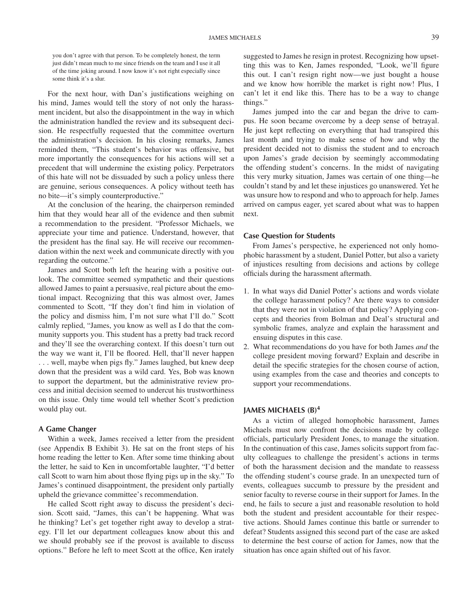you don't agree with that person. To be completely honest, the term just didn't mean much to me since friends on the team and I use it all of the time joking around. I now know it's not right especially since some think it's a slur.

For the next hour, with Dan's justifications weighing on his mind, James would tell the story of not only the harassment incident, but also the disappointment in the way in which the administration handled the review and its subsequent decision. He respectfully requested that the committee overturn the administration's decision. In his closing remarks, James reminded them, "This student's behavior was offensive, but more importantly the consequences for his actions will set a precedent that will undermine the existing policy. Perpetrators of this hate will not be dissuaded by such a policy unless there are genuine, serious consequences. A policy without teeth has no bite—it's simply counterproductive."

At the conclusion of the hearing, the chairperson reminded him that they would hear all of the evidence and then submit a recommendation to the president. "Professor Michaels, we appreciate your time and patience. Understand, however, that the president has the final say. He will receive our recommendation within the next week and communicate directly with you regarding the outcome."

James and Scott both left the hearing with a positive outlook. The committee seemed sympathetic and their questions allowed James to paint a persuasive, real picture about the emotional impact. Recognizing that this was almost over, James commented to Scott, "If they don't find him in violation of the policy and dismiss him, I'm not sure what I'll do." Scott calmly replied, "James, you know as well as I do that the community supports you. This student has a pretty bad track record and they'll see the overarching context. If this doesn't turn out the way we want it, I'll be floored. Hell, that'll never happen *...* well, maybe when pigs fly." James laughed, but knew deep down that the president was a wild card. Yes, Bob was known to support the department, but the administrative review process and initial decision seemed to undercut his trustworthiness on this issue. Only time would tell whether Scott's prediction would play out.

#### **A Game Changer**

Within a week, James received a letter from the president (see Appendix B Exhibit 3). He sat on the front steps of his home reading the letter to Ken. After some time thinking about the letter, he said to Ken in uncomfortable laughter, "I'd better call Scott to warn him about those flying pigs up in the sky." To James's continued disappointment, the president only partially upheld the grievance committee's recommendation.

He called Scott right away to discuss the president's decision. Scott said, "James, this can't be happening. What was he thinking? Let's get together right away to develop a strategy. I'll let our department colleagues know about this and we should probably see if the provost is available to discuss options." Before he left to meet Scott at the office, Ken irately

suggested to James he resign in protest. Recognizing how upsetting this was to Ken, James responded, "Look, we'll figure this out. I can't resign right now—we just bought a house and we know how horrible the market is right now! Plus, I can't let it end like this. There has to be a way to change things."

James jumped into the car and began the drive to campus. He soon became overcome by a deep sense of betrayal. He just kept reflecting on everything that had transpired this last month and trying to make sense of how and why the president decided not to dismiss the student and to encroach upon James's grade decision by seemingly accommodating the offending student's concerns. In the midst of navigating this very murky situation, James was certain of one thing—he couldn't stand by and let these injustices go unanswered. Yet he was unsure how to respond and who to approach for help. James arrived on campus eager, yet scared about what was to happen next.

### **Case Question for Students**

From James's perspective, he experienced not only homophobic harassment by a student, Daniel Potter, but also a variety of injustices resulting from decisions and actions by college officials during the harassment aftermath.

- 1. In what ways did Daniel Potter's actions and words violate the college harassment policy? Are there ways to consider that they were not in violation of that policy? Applying concepts and theories from Bolman and Deal's structural and symbolic frames, analyze and explain the harassment and ensuing disputes in this case.
- 2. What recommendations do you have for both James *and* the college president moving forward? Explain and describe in detail the specific strategies for the chosen course of action, using examples from the case and theories and concepts to support your recommendations.

#### **JAMES MICHAELS (B)<sup>4</sup>**

As a victim of alleged homophobic harassment, James Michaels must now confront the decisions made by college officials, particularly President Jones, to manage the situation. In the continuation of this case, James solicits support from faculty colleagues to challenge the president's actions in terms of both the harassment decision and the mandate to reassess the offending student's course grade. In an unexpected turn of events, colleagues succumb to pressure by the president and senior faculty to reverse course in their support for James. In the end, he fails to secure a just and reasonable resolution to hold both the student and president accountable for their respective actions. Should James continue this battle or surrender to defeat? Students assigned this second part of the case are asked to determine the best course of action for James, now that the situation has once again shifted out of his favor.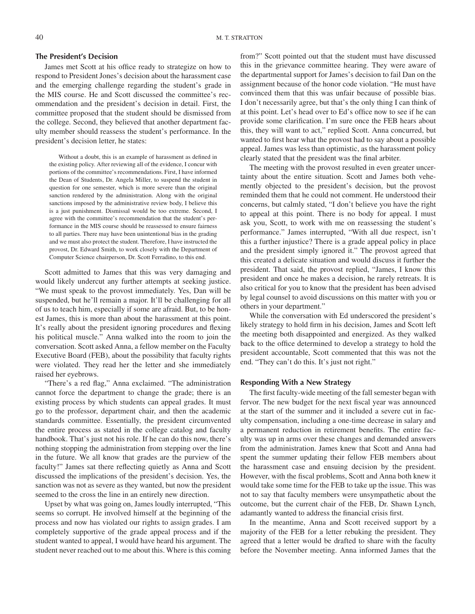#### **The President's Decision**

James met Scott at his office ready to strategize on how to respond to President Jones's decision about the harassment case and the emerging challenge regarding the student's grade in the MIS course. He and Scott discussed the committee's recommendation and the president's decision in detail. First, the committee proposed that the student should be dismissed from the college. Second, they believed that another department faculty member should reassess the student's performance. In the president's decision letter, he states:

Without a doubt, this is an example of harassment as defined in the existing policy. After reviewing all of the evidence, I concur with portions of the committee's recommendations. First, I have informed the Dean of Students, Dr. Angela Miller, to suspend the student in question for one semester, which is more severe than the original sanction rendered by the administration. Along with the original sanctions imposed by the administrative review body, I believe this is a just punishment. Dismissal would be too extreme. Second, I agree with the committee's recommendation that the student's performance in the MIS course should be reassessed to ensure fairness to all parties. There may have been unintentional bias in the grading and we must also protect the student. Therefore, I have instructed the provost, Dr. Edward Smith, to work closely with the Department of Computer Science chairperson, Dr. Scott Ferradino, to this end.

Scott admitted to James that this was very damaging and would likely undercut any further attempts at seeking justice. "We must speak to the provost immediately. Yes, Dan will be suspended, but he'll remain a major. It'll be challenging for all of us to teach him, especially if some are afraid. But, to be honest James, this is more than about the harassment at this point. It's really about the president ignoring procedures and flexing his political muscle." Anna walked into the room to join the conversation. Scott asked Anna, a fellow member on the Faculty Executive Board (FEB), about the possibility that faculty rights were violated. They read her the letter and she immediately raised her eyebrows.

"There's a red flag," Anna exclaimed. "The administration cannot force the department to change the grade; there is an existing process by which students can appeal grades. It must go to the professor, department chair, and then the academic standards committee. Essentially, the president circumvented the entire process as stated in the college catalog and faculty handbook. That's just not his role. If he can do this now, there's nothing stopping the administration from stepping over the line in the future. We all know that grades are the purview of the faculty!" James sat there reflecting quietly as Anna and Scott discussed the implications of the president's decision. Yes, the sanction was not as severe as they wanted, but now the president seemed to the cross the line in an entirely new direction.

Upset by what was going on, James loudly interrupted, "This seems so corrupt. He involved himself at the beginning of the process and now has violated our rights to assign grades. I am completely supportive of the grade appeal process and if the student wanted to appeal, I would have heard his argument. The student never reached out to me about this. Where is this coming

from?" Scott pointed out that the student must have discussed this in the grievance committee hearing. They were aware of the departmental support for James's decision to fail Dan on the assignment because of the honor code violation. "He must have convinced them that this was unfair because of possible bias. I don't necessarily agree, but that's the only thing I can think of at this point. Let's head over to Ed's office now to see if he can provide some clarification. I'm sure once the FEB hears about this, they will want to act," replied Scott. Anna concurred, but wanted to first hear what the provost had to say about a possible appeal. James was less than optimistic, as the harassment policy clearly stated that the president was the final arbiter.

The meeting with the provost resulted in even greater uncertainty about the entire situation. Scott and James both vehemently objected to the president's decision, but the provost reminded them that he could not comment. He understood their concerns, but calmly stated, "I don't believe you have the right to appeal at this point. There is no body for appeal. I must ask you, Scott, to work with me on reassessing the student's performance." James interrupted, "With all due respect, isn't this a further injustice? There is a grade appeal policy in place and the president simply ignored it." The provost agreed that this created a delicate situation and would discuss it further the president. That said, the provost replied, "James, I know this president and once he makes a decision, he rarely retreats. It is also critical for you to know that the president has been advised by legal counsel to avoid discussions on this matter with you or others in your department."

While the conversation with Ed underscored the president's likely strategy to hold firm in his decision, James and Scott left the meeting both disappointed and energized. As they walked back to the office determined to develop a strategy to hold the president accountable, Scott commented that this was not the end. "They can't do this. It's just not right."

#### **Responding With a New Strategy**

The first faculty-wide meeting of the fall semester began with fervor. The new budget for the next fiscal year was announced at the start of the summer and it included a severe cut in faculty compensation, including a one-time decrease in salary and a permanent reduction in retirement benefits. The entire faculty was up in arms over these changes and demanded answers from the administration. James knew that Scott and Anna had spent the summer updating their fellow FEB members about the harassment case and ensuing decision by the president. However, with the fiscal problems, Scott and Anna both knew it would take some time for the FEB to take up the issue. This was not to say that faculty members were unsympathetic about the outcome, but the current chair of the FEB, Dr. Shawn Lynch, adamantly wanted to address the financial crisis first.

In the meantime, Anna and Scott received support by a majority of the FEB for a letter rebuking the president. They agreed that a letter would be drafted to share with the faculty before the November meeting. Anna informed James that the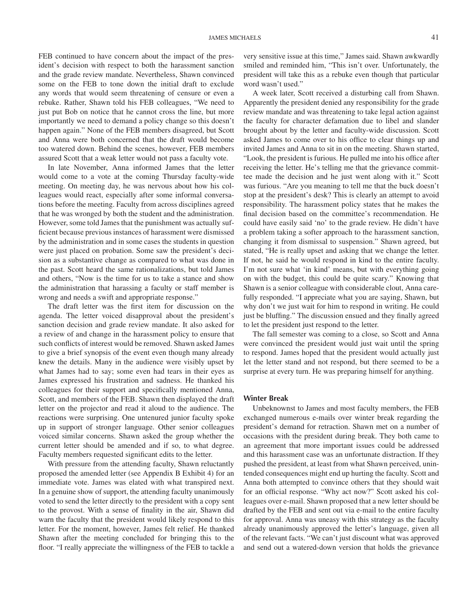#### JAMES MICHAELS 41

FEB continued to have concern about the impact of the president's decision with respect to both the harassment sanction and the grade review mandate. Nevertheless, Shawn convinced some on the FEB to tone down the initial draft to exclude any words that would seem threatening of censure or even a rebuke. Rather, Shawn told his FEB colleagues, "We need to just put Bob on notice that he cannot cross the line, but more importantly we need to demand a policy change so this doesn't happen again." None of the FEB members disagreed, but Scott and Anna were both concerned that the draft would become too watered down. Behind the scenes, however, FEB members assured Scott that a weak letter would not pass a faculty vote.

In late November, Anna informed James that the letter would come to a vote at the coming Thursday faculty-wide meeting. On meeting day, he was nervous about how his colleagues would react, especially after some informal conversations before the meeting. Faculty from across disciplines agreed that he was wronged by both the student and the administration. However, some told James that the punishment was actually sufficient because previous instances of harassment were dismissed by the administration and in some cases the students in question were just placed on probation. Some saw the president's decision as a substantive change as compared to what was done in the past. Scott heard the same rationalizations, but told James and others, "Now is the time for us to take a stance and show the administration that harassing a faculty or staff member is wrong and needs a swift and appropriate response."

The draft letter was the first item for discussion on the agenda. The letter voiced disapproval about the president's sanction decision and grade review mandate. It also asked for a review of and change in the harassment policy to ensure that such conflicts of interest would be removed. Shawn asked James to give a brief synopsis of the event even though many already knew the details. Many in the audience were visibly upset by what James had to say; some even had tears in their eyes as James expressed his frustration and sadness. He thanked his colleagues for their support and specifically mentioned Anna, Scott, and members of the FEB. Shawn then displayed the draft letter on the projector and read it aloud to the audience. The reactions were surprising. One untenured junior faculty spoke up in support of stronger language. Other senior colleagues voiced similar concerns. Shawn asked the group whether the current letter should be amended and if so, to what degree. Faculty members requested significant edits to the letter.

With pressure from the attending faculty, Shawn reluctantly proposed the amended letter (see Appendix B Exhibit 4) for an immediate vote. James was elated with what transpired next. In a genuine show of support, the attending faculty unanimously voted to send the letter directly to the president with a copy sent to the provost. With a sense of finality in the air, Shawn did warn the faculty that the president would likely respond to this letter. For the moment, however, James felt relief. He thanked Shawn after the meeting concluded for bringing this to the floor. "I really appreciate the willingness of the FEB to tackle a

very sensitive issue at this time," James said. Shawn awkwardly smiled and reminded him, "This isn't over. Unfortunately, the president will take this as a rebuke even though that particular word wasn't used."

A week later, Scott received a disturbing call from Shawn. Apparently the president denied any responsibility for the grade review mandate and was threatening to take legal action against the faculty for character defamation due to libel and slander brought about by the letter and faculty-wide discussion. Scott asked James to come over to his office to clear things up and invited James and Anna to sit in on the meeting. Shawn started, "Look, the president is furious. He pulled me into his office after receiving the letter. He's telling me that the grievance committee made the decision and he just went along with it." Scott was furious. "Are you meaning to tell me that the buck doesn't stop at the president's desk? This is clearly an attempt to avoid responsibility. The harassment policy states that he makes the final decision based on the committee's recommendation. He could have easily said 'no' to the grade review. He didn't have a problem taking a softer approach to the harassment sanction, changing it from dismissal to suspension." Shawn agreed, but stated, "He is really upset and asking that we change the letter. If not, he said he would respond in kind to the entire faculty. I'm not sure what 'in kind' means, but with everything going on with the budget, this could be quite scary." Knowing that Shawn is a senior colleague with considerable clout, Anna carefully responded. "I appreciate what you are saying, Shawn, but why don't we just wait for him to respond in writing. He could just be bluffing." The discussion ensued and they finally agreed to let the president just respond to the letter.

The fall semester was coming to a close, so Scott and Anna were convinced the president would just wait until the spring to respond. James hoped that the president would actually just let the letter stand and not respond, but there seemed to be a surprise at every turn. He was preparing himself for anything.

#### **Winter Break**

Unbeknownst to James and most faculty members, the FEB exchanged numerous e-mails over winter break regarding the president's demand for retraction. Shawn met on a number of occasions with the president during break. They both came to an agreement that more important issues could be addressed and this harassment case was an unfortunate distraction. If they pushed the president, at least from what Shawn perceived, unintended consequences might end up hurting the faculty. Scott and Anna both attempted to convince others that they should wait for an official response. "Why act now?" Scott asked his colleagues over e-mail. Shawn proposed that a new letter should be drafted by the FEB and sent out via e-mail to the entire faculty for approval. Anna was uneasy with this strategy as the faculty already unanimously approved the letter's language, given all of the relevant facts. "We can't just discount what was approved and send out a watered-down version that holds the grievance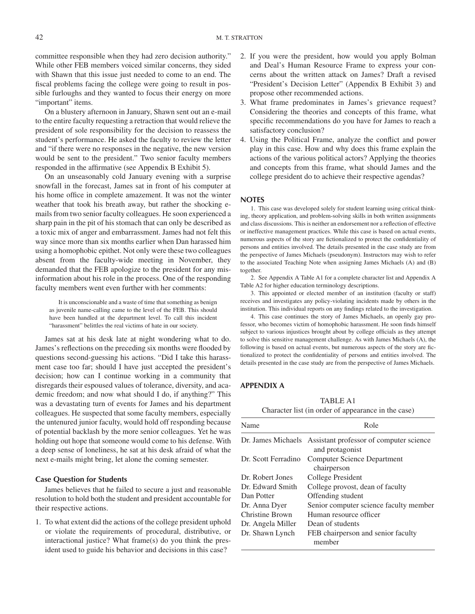committee responsible when they had zero decision authority." While other FEB members voiced similar concerns, they sided with Shawn that this issue just needed to come to an end. The fiscal problems facing the college were going to result in possible furloughs and they wanted to focus their energy on more "important" items.

On a blustery afternoon in January, Shawn sent out an e-mail to the entire faculty requesting a retraction that would relieve the president of sole responsibility for the decision to reassess the student's performance. He asked the faculty to review the letter and "if there were no responses in the negative, the new version would be sent to the president." Two senior faculty members responded in the affirmative (see Appendix B Exhibit 5).

On an unseasonably cold January evening with a surprise snowfall in the forecast, James sat in front of his computer at his home office in complete amazement. It was not the winter weather that took his breath away, but rather the shocking emails from two senior faculty colleagues. He soon experienced a sharp pain in the pit of his stomach that can only be described as a toxic mix of anger and embarrassment. James had not felt this way since more than six months earlier when Dan harassed him using a homophobic epithet. Not only were these two colleagues absent from the faculty-wide meeting in November, they demanded that the FEB apologize to the president for any misinformation about his role in the process. One of the responding faculty members went even further with her comments:

It is unconscionable and a waste of time that something as benign as juvenile name-calling came to the level of the FEB. This should have been handled at the department level. To call this incident "harassment" belittles the real victims of hate in our society.

James sat at his desk late at night wondering what to do. James's reflections on the preceding six months were flooded by questions second-guessing his actions. "Did I take this harassment case too far; should I have just accepted the president's decision; how can I continue working in a community that disregards their espoused values of tolerance, diversity, and academic freedom; and now what should I do, if anything?" This was a devastating turn of events for James and his department colleagues. He suspected that some faculty members, especially the untenured junior faculty, would hold off responding because of potential backlash by the more senior colleagues. Yet he was holding out hope that someone would come to his defense. With a deep sense of loneliness, he sat at his desk afraid of what the next e-mails might bring, let alone the coming semester.

#### **Case Question for Students**

James believes that he failed to secure a just and reasonable resolution to hold both the student and president accountable for their respective actions.

1. To what extent did the actions of the college president uphold or violate the requirements of procedural, distributive, or interactional justice? What frame(s) do you think the president used to guide his behavior and decisions in this case?

- 2. If you were the president, how would you apply Bolman and Deal's Human Resource Frame to express your concerns about the written attack on James? Draft a revised "President's Decision Letter" (Appendix B Exhibit 3) and propose other recommended actions.
- 3. What frame predominates in James's grievance request? Considering the theories and concepts of this frame, what specific recommendations do you have for James to reach a satisfactory conclusion?
- 4. Using the Political Frame, analyze the conflict and power play in this case. How and why does this frame explain the actions of the various political actors? Applying the theories and concepts from this frame, what should James and the college president do to achieve their respective agendas?

#### **NOTES**

1. This case was developed solely for student learning using critical thinking, theory application, and problem-solving skills in both written assignments and class discussions. This is neither an endorsement nor a reflection of effective or ineffective management practices. While this case is based on actual events, numerous aspects of the story are fictionalized to protect the confidentiality of persons and entities involved. The details presented in the case study are from the perspective of James Michaels (pseudonym). Instructors may wish to refer to the associated Teaching Note when assigning James Michaels (A) and (B) together.

2. See Appendix A Table A1 for a complete character list and Appendix A Table A2 for higher education terminology descriptions.

3. This appointed or elected member of an institution (faculty or staff) receives and investigates any policy-violating incidents made by others in the institution. This individual reports on any findings related to the investigation.

4. This case continues the story of James Michaels, an openly gay professor, who becomes victim of homophobic harassment. He soon finds himself subject to various injustices brought about by college officials as they attempt to solve this sensitive management challenge. As with James Michaels (A), the following is based on actual events, but numerous aspects of the story are fictionalized to protect the confidentiality of persons and entities involved. The details presented in the case study are from the perspective of James Michaels.

#### **APPENDIX A**

TABLE A1 Character list (in order of appearance in the case)

| Name                | Role                                                                          |
|---------------------|-------------------------------------------------------------------------------|
|                     | Dr. James Michaels Assistant professor of computer science<br>and protagonist |
| Dr. Scott Ferradino | Computer Science Department<br>chairperson                                    |
| Dr. Robert Jones    | College President                                                             |
| Dr. Edward Smith    | College provost, dean of faculty                                              |
| Dan Potter          | Offending student                                                             |
| Dr. Anna Dyer       | Senior computer science faculty member                                        |
| Christine Brown     | Human resource officer                                                        |
| Dr. Angela Miller   | Dean of students                                                              |
| Dr. Shawn Lynch     | FEB chairperson and senior faculty<br>member                                  |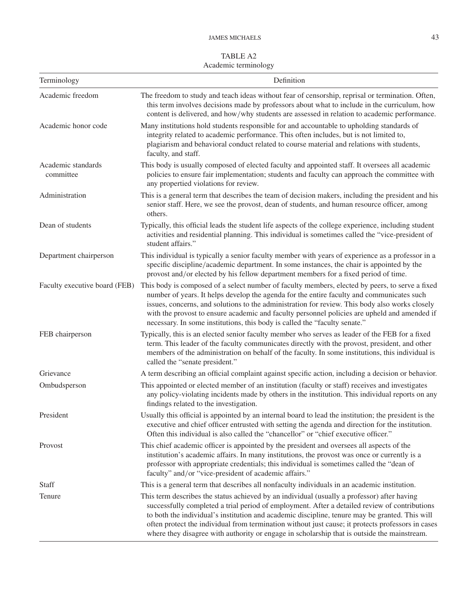## JAMES MICHAELS 43

## TABLE A2 Academic terminology

| Terminology                     | Definition                                                                                                                                                                                                                                                                                                                                                                                                                                                                                         |
|---------------------------------|----------------------------------------------------------------------------------------------------------------------------------------------------------------------------------------------------------------------------------------------------------------------------------------------------------------------------------------------------------------------------------------------------------------------------------------------------------------------------------------------------|
| Academic freedom                | The freedom to study and teach ideas without fear of censorship, reprisal or termination. Often,<br>this term involves decisions made by professors about what to include in the curriculum, how<br>content is delivered, and how/why students are assessed in relation to academic performance.                                                                                                                                                                                                   |
| Academic honor code             | Many institutions hold students responsible for and accountable to upholding standards of<br>integrity related to academic performance. This often includes, but is not limited to,<br>plagiarism and behavioral conduct related to course material and relations with students,<br>faculty, and staff.                                                                                                                                                                                            |
| Academic standards<br>committee | This body is usually composed of elected faculty and appointed staff. It oversees all academic<br>policies to ensure fair implementation; students and faculty can approach the committee with<br>any propertied violations for review.                                                                                                                                                                                                                                                            |
| Administration                  | This is a general term that describes the team of decision makers, including the president and his<br>senior staff. Here, we see the provost, dean of students, and human resource officer, among<br>others.                                                                                                                                                                                                                                                                                       |
| Dean of students                | Typically, this official leads the student life aspects of the college experience, including student<br>activities and residential planning. This individual is sometimes called the "vice-president of<br>student affairs."                                                                                                                                                                                                                                                                       |
| Department chairperson          | This individual is typically a senior faculty member with years of experience as a professor in a<br>specific discipline/academic department. In some instances, the chair is appointed by the<br>provost and/or elected by his fellow department members for a fixed period of time.                                                                                                                                                                                                              |
| Faculty executive board (FEB)   | This body is composed of a select number of faculty members, elected by peers, to serve a fixed<br>number of years. It helps develop the agenda for the entire faculty and communicates such<br>issues, concerns, and solutions to the administration for review. This body also works closely<br>with the provost to ensure academic and faculty personnel policies are upheld and amended if<br>necessary. In some institutions, this body is called the "faculty senate."                       |
| FEB chairperson                 | Typically, this is an elected senior faculty member who serves as leader of the FEB for a fixed<br>term. This leader of the faculty communicates directly with the provost, president, and other<br>members of the administration on behalf of the faculty. In some institutions, this individual is<br>called the "senate president."                                                                                                                                                             |
| Grievance                       | A term describing an official complaint against specific action, including a decision or behavior.                                                                                                                                                                                                                                                                                                                                                                                                 |
| Ombudsperson                    | This appointed or elected member of an institution (faculty or staff) receives and investigates<br>any policy-violating incidents made by others in the institution. This individual reports on any<br>findings related to the investigation.                                                                                                                                                                                                                                                      |
| President                       | Usually this official is appointed by an internal board to lead the institution; the president is the<br>executive and chief officer entrusted with setting the agenda and direction for the institution.<br>Often this individual is also called the "chancellor" or "chief executive officer."                                                                                                                                                                                                   |
| Provost                         | This chief academic officer is appointed by the president and oversees all aspects of the<br>institution's academic affairs. In many institutions, the provost was once or currently is a<br>professor with appropriate credentials; this individual is sometimes called the "dean of<br>faculty" and/or "vice-president of academic affairs."                                                                                                                                                     |
| Staff                           | This is a general term that describes all nonfaculty individuals in an academic institution.                                                                                                                                                                                                                                                                                                                                                                                                       |
| Tenure                          | This term describes the status achieved by an individual (usually a professor) after having<br>successfully completed a trial period of employment. After a detailed review of contributions<br>to both the individual's institution and academic discipline, tenure may be granted. This will<br>often protect the individual from termination without just cause; it protects professors in cases<br>where they disagree with authority or engage in scholarship that is outside the mainstream. |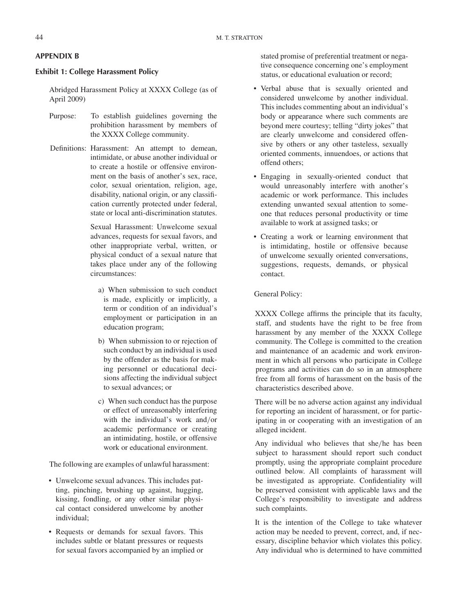#### **APPENDIX B**

#### **Exhibit 1: College Harassment Policy**

Abridged Harassment Policy at XXXX College (as of April 2009)

- Purpose: To establish guidelines governing the prohibition harassment by members of the XXXX College community.
- Definitions: Harassment: An attempt to demean, intimidate, or abuse another individual or to create a hostile or offensive environment on the basis of another's sex, race, color, sexual orientation, religion, age, disability, national origin, or any classification currently protected under federal, state or local anti-discrimination statutes.

Sexual Harassment: Unwelcome sexual advances, requests for sexual favors, and other inappropriate verbal, written, or physical conduct of a sexual nature that takes place under any of the following circumstances:

- a) When submission to such conduct is made, explicitly or implicitly, a term or condition of an individual's employment or participation in an education program;
- b) When submission to or rejection of such conduct by an individual is used by the offender as the basis for making personnel or educational decisions affecting the individual subject to sexual advances; or
- c) When such conduct has the purpose or effect of unreasonably interfering with the individual's work and*/*or academic performance or creating an intimidating, hostile, or offensive work or educational environment.

The following are examples of unlawful harassment:

- Unwelcome sexual advances. This includes patting, pinching, brushing up against, hugging, kissing, fondling, or any other similar physical contact considered unwelcome by another individual;
- Requests or demands for sexual favors. This includes subtle or blatant pressures or requests for sexual favors accompanied by an implied or

stated promise of preferential treatment or negative consequence concerning one's employment status, or educational evaluation or record;

- Verbal abuse that is sexually oriented and considered unwelcome by another individual. This includes commenting about an individual's body or appearance where such comments are beyond mere courtesy; telling "dirty jokes" that are clearly unwelcome and considered offensive by others or any other tasteless, sexually oriented comments, innuendoes, or actions that offend others;
- Engaging in sexually-oriented conduct that would unreasonably interfere with another's academic or work performance. This includes extending unwanted sexual attention to someone that reduces personal productivity or time available to work at assigned tasks; or
- Creating a work or learning environment that is intimidating, hostile or offensive because of unwelcome sexually oriented conversations, suggestions, requests, demands, or physical contact.

General Policy:

XXXX College affirms the principle that its faculty, staff, and students have the right to be free from harassment by any member of the XXXX College community. The College is committed to the creation and maintenance of an academic and work environment in which all persons who participate in College programs and activities can do so in an atmosphere free from all forms of harassment on the basis of the characteristics described above.

There will be no adverse action against any individual for reporting an incident of harassment, or for participating in or cooperating with an investigation of an alleged incident.

Any individual who believes that she*/*he has been subject to harassment should report such conduct promptly, using the appropriate complaint procedure outlined below. All complaints of harassment will be investigated as appropriate. Confidentiality will be preserved consistent with applicable laws and the College's responsibility to investigate and address such complaints.

It is the intention of the College to take whatever action may be needed to prevent, correct, and, if necessary, discipline behavior which violates this policy. Any individual who is determined to have committed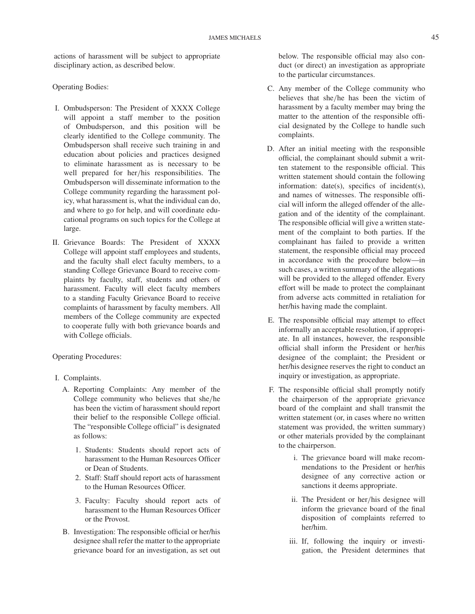actions of harassment will be subject to appropriate disciplinary action, as described below.

Operating Bodies:

- I. Ombudsperson: The President of XXXX College will appoint a staff member to the position of Ombudsperson, and this position will be clearly identified to the College community. The Ombudsperson shall receive such training in and education about policies and practices designed to eliminate harassment as is necessary to be well prepared for her*/*his responsibilities. The Ombudsperson will disseminate information to the College community regarding the harassment policy, what harassment is, what the individual can do, and where to go for help, and will coordinate educational programs on such topics for the College at large.
- II. Grievance Boards: The President of XXXX College will appoint staff employees and students, and the faculty shall elect faculty members, to a standing College Grievance Board to receive complaints by faculty, staff, students and others of harassment. Faculty will elect faculty members to a standing Faculty Grievance Board to receive complaints of harassment by faculty members. All members of the College community are expected to cooperate fully with both grievance boards and with College officials.

Operating Procedures:

- I. Complaints.
	- A. Reporting Complaints: Any member of the College community who believes that she*/*he has been the victim of harassment should report their belief to the responsible College official. The "responsible College official" is designated as follows:
		- 1. Students: Students should report acts of harassment to the Human Resources Officer or Dean of Students.
		- 2. Staff: Staff should report acts of harassment to the Human Resources Officer.
		- 3. Faculty: Faculty should report acts of harassment to the Human Resources Officer or the Provost.
	- B. Investigation: The responsible official or her/his designee shall refer the matter to the appropriate grievance board for an investigation, as set out

below. The responsible official may also conduct (or direct) an investigation as appropriate to the particular circumstances.

- C. Any member of the College community who believes that she*/*he has been the victim of harassment by a faculty member may bring the matter to the attention of the responsible official designated by the College to handle such complaints.
- D. After an initial meeting with the responsible official, the complainant should submit a written statement to the responsible official. This written statement should contain the following information: date(s), specifics of incident(s), and names of witnesses. The responsible official will inform the alleged offender of the allegation and of the identity of the complainant. The responsible official will give a written statement of the complaint to both parties. If the complainant has failed to provide a written statement, the responsible official may proceed in accordance with the procedure below—in such cases, a written summary of the allegations will be provided to the alleged offender. Every effort will be made to protect the complainant from adverse acts committed in retaliation for her/his having made the complaint.
- E. The responsible official may attempt to effect informally an acceptable resolution, if appropriate. In all instances, however, the responsible official shall inform the President or her/his designee of the complaint; the President or her/his designee reserves the right to conduct an inquiry or investigation, as appropriate.
- F. The responsible official shall promptly notify the chairperson of the appropriate grievance board of the complaint and shall transmit the written statement (or, in cases where no written statement was provided, the written summary) or other materials provided by the complainant to the chairperson.
	- i. The grievance board will make recommendations to the President or her/his designee of any corrective action or sanctions it deems appropriate.
	- ii. The President or her*/*his designee will inform the grievance board of the final disposition of complaints referred to her/him.
	- iii. If, following the inquiry or investigation, the President determines that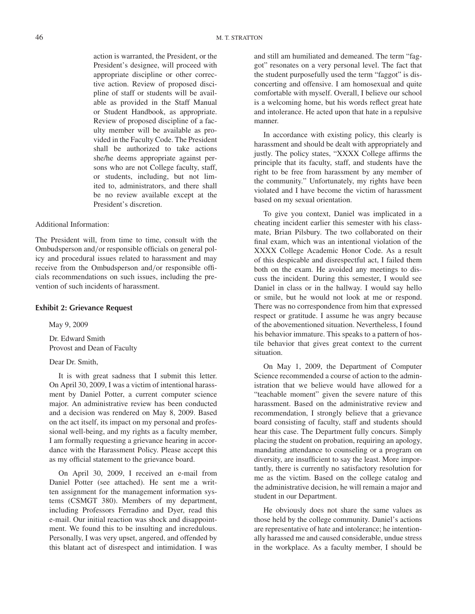action is warranted, the President, or the President's designee, will proceed with appropriate discipline or other corrective action. Review of proposed discipline of staff or students will be available as provided in the Staff Manual or Student Handbook, as appropriate. Review of proposed discipline of a faculty member will be available as provided in the Faculty Code. The President shall be authorized to take actions she/he deems appropriate against persons who are not College faculty, staff, or students, including, but not limited to, administrators, and there shall be no review available except at the President's discretion.

#### Additional Information:

The President will, from time to time, consult with the Ombudsperson and*/*or responsible officials on general policy and procedural issues related to harassment and may receive from the Ombudsperson and*/*or responsible officials recommendations on such issues, including the prevention of such incidents of harassment.

#### **Exhibit 2: Grievance Request**

May 9, 2009

Dr. Edward Smith Provost and Dean of Faculty

Dear Dr. Smith,

It is with great sadness that I submit this letter. On April 30, 2009, I was a victim of intentional harassment by Daniel Potter, a current computer science major. An administrative review has been conducted and a decision was rendered on May 8, 2009. Based on the act itself, its impact on my personal and professional well-being, and my rights as a faculty member, I am formally requesting a grievance hearing in accordance with the Harassment Policy. Please accept this as my official statement to the grievance board.

On April 30, 2009, I received an e-mail from Daniel Potter (see attached). He sent me a written assignment for the management information systems (CSMGT 380). Members of my department, including Professors Ferradino and Dyer, read this e-mail. Our initial reaction was shock and disappointment. We found this to be insulting and incredulous. Personally, I was very upset, angered, and offended by this blatant act of disrespect and intimidation. I was and still am humiliated and demeaned. The term "faggot" resonates on a very personal level. The fact that the student purposefully used the term "faggot" is disconcerting and offensive. I am homosexual and quite comfortable with myself. Overall, I believe our school is a welcoming home, but his words reflect great hate and intolerance. He acted upon that hate in a repulsive manner.

In accordance with existing policy, this clearly is harassment and should be dealt with appropriately and justly. The policy states, "XXXX College affirms the principle that its faculty, staff, and students have the right to be free from harassment by any member of the community." Unfortunately, my rights have been violated and I have become the victim of harassment based on my sexual orientation.

To give you context, Daniel was implicated in a cheating incident earlier this semester with his classmate, Brian Pilsbury. The two collaborated on their final exam, which was an intentional violation of the XXXX College Academic Honor Code. As a result of this despicable and disrespectful act, I failed them both on the exam. He avoided any meetings to discuss the incident. During this semester, I would see Daniel in class or in the hallway. I would say hello or smile, but he would not look at me or respond. There was no correspondence from him that expressed respect or gratitude. I assume he was angry because of the abovementioned situation. Nevertheless, I found his behavior immature. This speaks to a pattern of hostile behavior that gives great context to the current situation.

On May 1, 2009, the Department of Computer Science recommended a course of action to the administration that we believe would have allowed for a "teachable moment" given the severe nature of this harassment. Based on the administrative review and recommendation, I strongly believe that a grievance board consisting of faculty, staff and students should hear this case. The Department fully concurs. Simply placing the student on probation, requiring an apology, mandating attendance to counseling or a program on diversity, are insufficient to say the least. More importantly, there is currently no satisfactory resolution for me as the victim. Based on the college catalog and the administrative decision, he will remain a major and student in our Department.

He obviously does not share the same values as those held by the college community. Daniel's actions are representative of hate and intolerance; he intentionally harassed me and caused considerable, undue stress in the workplace. As a faculty member, I should be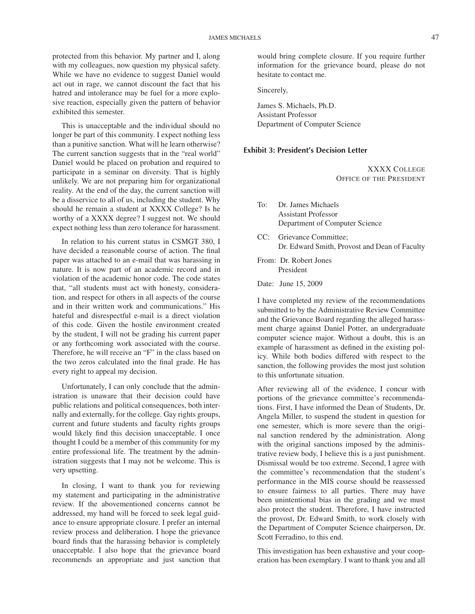protected from this behavior. My partner and I, along with my colleagues, now question my physical safety. While we have no evidence to suggest Daniel would act out in rage, we cannot discount the fact that his hatred and intolerance may be fuel for a more explosive reaction, especially given the pattern of behavior exhibited this semester.

This is unacceptable and the individual should no longer be part of this community. I expect nothing less than a punitive sanction. What will he learn otherwise? The current sanction suggests that in the "real world" Daniel would be placed on probation and required to participate in a seminar on diversity. That is highly unlikely. We are not preparing him for organizational reality. At the end of the day, the current sanction will be a disservice to all of us, including the student. Why should he remain a student at XXXX College? Is he worthy of a XXXX degree? I suggest not. We should expect nothing less than zero tolerance for harassment.

In relation to his current status in CSMGT 380, I have decided a reasonable course of action. The final paper was attached to an e-mail that was harassing in nature. It is now part of an academic record and in violation of the academic honor code. The code states that, "all students must act with honesty, consideration, and respect for others in all aspects of the course and in their written work and communications." His hateful and disrespectful e-mail is a direct violation of this code. Given the hostile environment created by the student, I will not be grading his current paper or any forthcoming work associated with the course. Therefore, he will receive an "F" in the class based on the two zeros calculated into the final grade. He has every right to appeal my decision.

Unfortunately, I can only conclude that the administration is unaware that their decision could have public relations and political consequences, both internally and externally, for the college. Gay rights groups, current and future students and faculty rights groups would likely find this decision unacceptable. I once thought I could be a member of this community for my entire professional life. The treatment by the administration suggests that I may not be welcome. This is very upsetting.

In closing, I want to thank you for reviewing my statement and participating in the administrative review. If the abovementioned concerns cannot be addressed, my hand will be forced to seek legal guidance to ensure appropriate closure. I prefer an internal review process and deliberation. I hope the grievance board finds that the harassing behavior is completely unacceptable. I also hope that the grievance board recommends an appropriate and just sanction that

would bring complete closure. If you require further information for the grievance board, please do not hesitate to contact me.

Sincerely,

James S. Michaels, Ph.D. Assistant Professor Department of Computer Science

#### **Exhibit 3: President's Decision Letter**

XXXX COLLEGE OFFICE OF THE PRESIDENT

- To: Dr. James Michaels Assistant Professor Department of Computer Science
- CC: Grievance Committee; Dr. Edward Smith, Provost and Dean of Faculty
- From: Dr. Robert Jones President
- Date: June 15, 2009

I have completed my review of the recommendations submitted to by the Administrative Review Committee and the Grievance Board regarding the alleged harassment charge against Daniel Potter, an undergraduate computer science major. Without a doubt, this is an example of harassment as defined in the existing policy. While both bodies differed with respect to the sanction, the following provides the most just solution to this unfortunate situation.

After reviewing all of the evidence, I concur with portions of the grievance committee's recommendations. First, I have informed the Dean of Students, Dr. Angela Miller, to suspend the student in question for one semester, which is more severe than the original sanction rendered by the administration. Along with the original sanctions imposed by the administrative review body, I believe this is a just punishment. Dismissal would be too extreme. Second, I agree with the committee's recommendation that the student's performance in the MIS course should be reassessed to ensure fairness to all parties. There may have been unintentional bias in the grading and we must also protect the student. Therefore, I have instructed the provost, Dr. Edward Smith, to work closely with the Department of Computer Science chairperson, Dr. Scott Ferradino, to this end.

This investigation has been exhaustive and your cooperation has been exemplary. I want to thank you and all